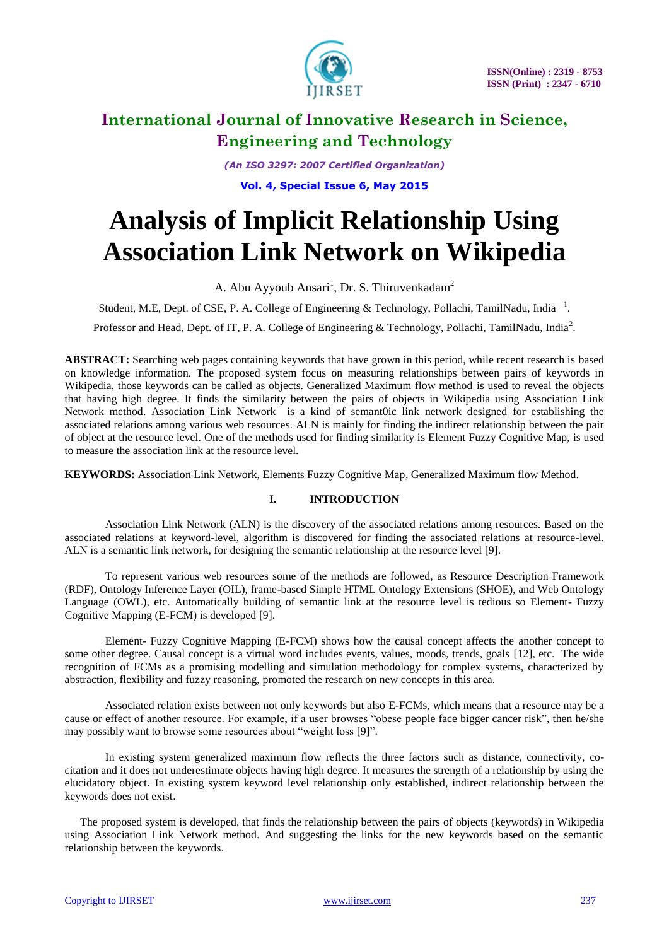

*(An ISO 3297: 2007 Certified Organization)*

**Vol. 4, Special Issue 6, May 2015**

# **Analysis of Implicit Relationship Using Association Link Network on Wikipedia**

A. Abu Ayyoub Ansari<sup>1</sup>, Dr. S. Thiruvenkadam<sup>2</sup>

Student, M.E, Dept. of CSE, P. A. College of Engineering & Technology, Pollachi, TamilNadu, India<sup>1</sup>.

Professor and Head, Dept. of IT, P. A. College of Engineering & Technology, Pollachi, TamilNadu, India<sup>2</sup>.

**ABSTRACT:** Searching web pages containing keywords that have grown in this period, while recent research is based on knowledge information. The proposed system focus on measuring relationships between pairs of keywords in Wikipedia, those keywords can be called as objects. Generalized Maximum flow method is used to reveal the objects that having high degree. It finds the similarity between the pairs of objects in Wikipedia using Association Link Network method. Association Link Network is a kind of semant0ic link network designed for establishing the associated relations among various web resources. ALN is mainly for finding the indirect relationship between the pair of object at the resource level. One of the methods used for finding similarity is Element Fuzzy Cognitive Map, is used to measure the association link at the resource level.

**KEYWORDS:** Association Link Network, Elements Fuzzy Cognitive Map, Generalized Maximum flow Method.

### **I. INTRODUCTION**

Association Link Network (ALN) is the discovery of the associated relations among resources. Based on the associated relations at keyword-level, algorithm is discovered for finding the associated relations at resource-level. ALN is a semantic link network, for designing the semantic relationship at the resource level [9].

To represent various web resources some of the methods are followed, as Resource Description Framework (RDF), Ontology Inference Layer (OIL), frame-based Simple HTML Ontology Extensions (SHOE), and Web Ontology Language (OWL), etc. Automatically building of semantic link at the resource level is tedious so Element- Fuzzy Cognitive Mapping (E-FCM) is developed [9].

Element- Fuzzy Cognitive Mapping (E-FCM) shows how the causal concept affects the another concept to some other degree. Causal concept is a virtual word includes events, values, moods, trends, goals [12], etc. The wide recognition of FCMs as a promising modelling and simulation methodology for complex systems, characterized by abstraction, flexibility and fuzzy reasoning, promoted the research on new concepts in this area.

Associated relation exists between not only keywords but also E-FCMs, which means that a resource may be a cause or effect of another resource. For example, if a user browses "obese people face bigger cancer risk", then he/she may possibly want to browse some resources about "weight loss [9]".

In existing system generalized maximum flow reflects the three factors such as distance, connectivity, cocitation and it does not underestimate objects having high degree. It measures the strength of a relationship by using the elucidatory object. In existing system keyword level relationship only established, indirect relationship between the keywords does not exist.

The proposed system is developed, that finds the relationship between the pairs of objects (keywords) in Wikipedia using Association Link Network method. And suggesting the links for the new keywords based on the semantic relationship between the keywords.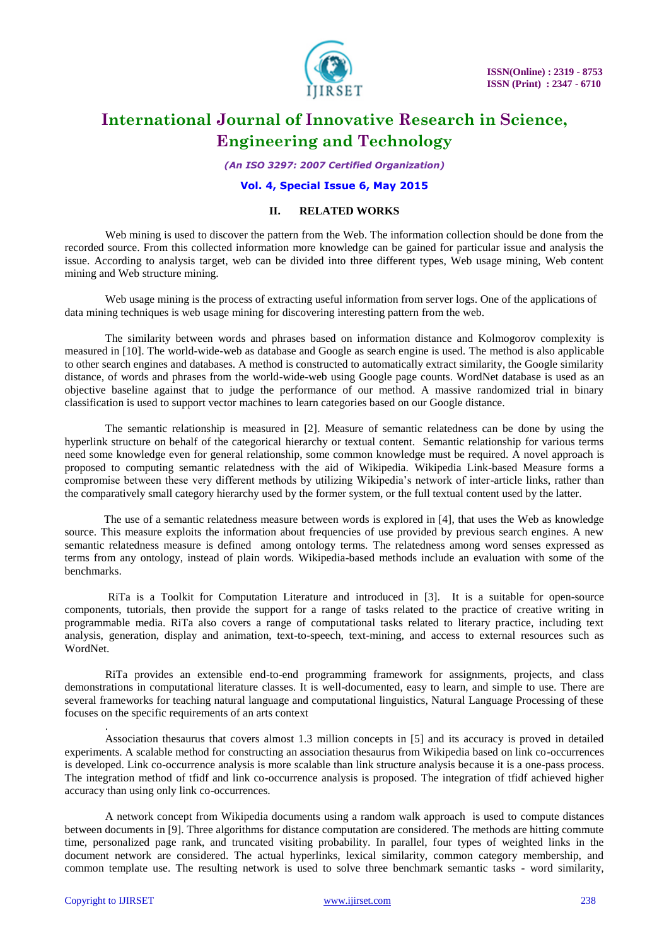

*(An ISO 3297: 2007 Certified Organization)*

#### **Vol. 4, Special Issue 6, May 2015**

#### **II. RELATED WORKS**

Web mining is used to discover the pattern from the Web. The information collection should be done from the recorded source. From this collected information more knowledge can be gained for particular issue and analysis the issue. According to analysis target, web can be divided into three different types, Web usage mining, Web content mining and Web structure mining.

Web usage mining is the process of extracting useful information from server logs. One of the applications of data mining techniques is web usage mining for discovering interesting pattern from the web.

The similarity between words and phrases based on information distance and Kolmogorov complexity is measured in [10]. The world-wide-web as database and Google as search engine is used. The method is also applicable to other search engines and databases. A method is constructed to automatically extract similarity, the Google similarity distance, of words and phrases from the world-wide-web using Google page counts. WordNet database is used as an objective baseline against that to judge the performance of our method. A massive randomized trial in binary classification is used to support vector machines to learn categories based on our Google distance.

The semantic relationship is measured in [2]. Measure of semantic relatedness can be done by using the hyperlink structure on behalf of the categorical hierarchy or textual content. Semantic relationship for various terms need some knowledge even for general relationship, some common knowledge must be required. A novel approach is proposed to computing semantic relatedness with the aid of Wikipedia. Wikipedia Link-based Measure forms a compromise between these very different methods by utilizing Wikipedia"s network of inter-article links, rather than the comparatively small category hierarchy used by the former system, or the full textual content used by the latter.

 The use of a semantic relatedness measure between words is explored in [4], that uses the Web as knowledge source. This measure exploits the information about frequencies of use provided by previous search engines. A new semantic relatedness measure is defined among ontology terms. The relatedness among word senses expressed as terms from any ontology, instead of plain words. Wikipedia-based methods include an evaluation with some of the benchmarks.

RiTa is a Toolkit for Computation Literature and introduced in [3]. It is a suitable for open-source components, tutorials, then provide the support for a range of tasks related to the practice of creative writing in programmable media. RiTa also covers a range of computational tasks related to literary practice, including text analysis, generation, display and animation, text-to-speech, text-mining, and access to external resources such as WordNet.

RiTa provides an extensible end-to-end programming framework for assignments, projects, and class demonstrations in computational literature classes. It is well-documented, easy to learn, and simple to use. There are several frameworks for teaching natural language and computational linguistics, Natural Language Processing of these focuses on the specific requirements of an arts context

Association thesaurus that covers almost 1.3 million concepts in [5] and its accuracy is proved in detailed experiments. A scalable method for constructing an association thesaurus from Wikipedia based on link co-occurrences is developed. Link co-occurrence analysis is more scalable than link structure analysis because it is a one-pass process. The integration method of tfidf and link co-occurrence analysis is proposed. The integration of tfidf achieved higher accuracy than using only link co-occurrences.

A network concept from Wikipedia documents using a random walk approach is used to compute distances between documents in [9]. Three algorithms for distance computation are considered. The methods are hitting commute time, personalized page rank, and truncated visiting probability. In parallel, four types of weighted links in the document network are considered. The actual hyperlinks, lexical similarity, common category membership, and common template use. The resulting network is used to solve three benchmark semantic tasks - word similarity,

.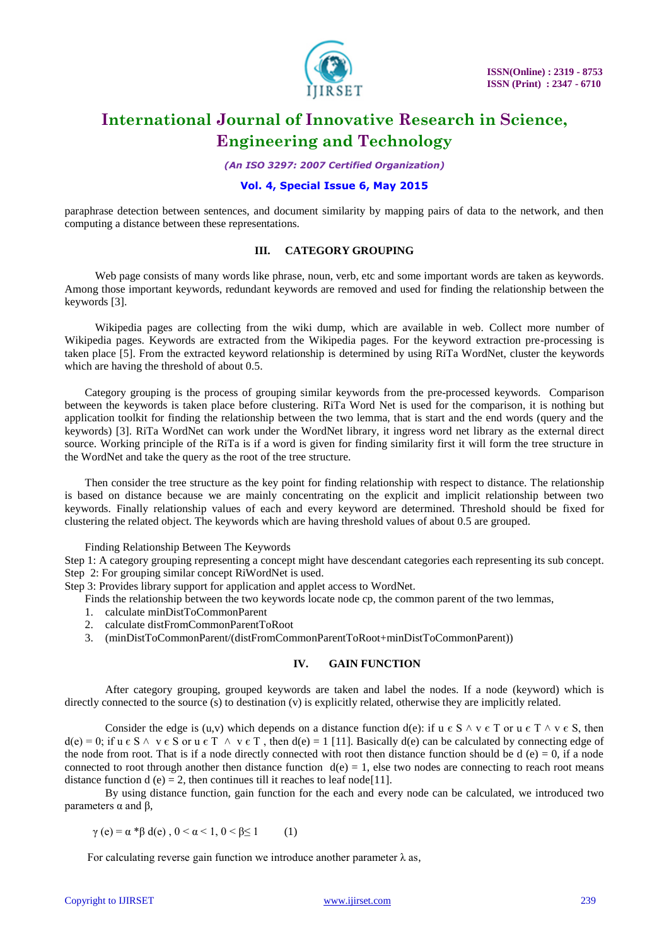

*(An ISO 3297: 2007 Certified Organization)*

### **Vol. 4, Special Issue 6, May 2015**

paraphrase detection between sentences, and document similarity by mapping pairs of data to the network, and then computing a distance between these representations.

#### **III. CATEGORY GROUPING**

Web page consists of many words like phrase, noun, verb, etc and some important words are taken as keywords. Among those important keywords, redundant keywords are removed and used for finding the relationship between the keywords [3].

Wikipedia pages are collecting from the wiki dump, which are available in web. Collect more number of Wikipedia pages. Keywords are extracted from the Wikipedia pages. For the keyword extraction pre-processing is taken place [5]. From the extracted keyword relationship is determined by using RiTa WordNet, cluster the keywords which are having the threshold of about 0.5.

Category grouping is the process of grouping similar keywords from the pre-processed keywords. Comparison between the keywords is taken place before clustering. RiTa Word Net is used for the comparison, it is nothing but application toolkit for finding the relationship between the two lemma, that is start and the end words (query and the keywords) [3]. RiTa WordNet can work under the WordNet library, it ingress word net library as the external direct source. Working principle of the RiTa is if a word is given for finding similarity first it will form the tree structure in the WordNet and take the query as the root of the tree structure.

Then consider the tree structure as the key point for finding relationship with respect to distance. The relationship is based on distance because we are mainly concentrating on the explicit and implicit relationship between two keywords. Finally relationship values of each and every keyword are determined. Threshold should be fixed for clustering the related object. The keywords which are having threshold values of about 0.5 are grouped.

#### Finding Relationship Between The Keywords

Step 1: A category grouping representing a concept might have descendant categories each representing its sub concept. Step 2: For grouping similar concept RiWordNet is used.

Step 3: Provides library support for application and applet access to WordNet.

Finds the relationship between the two keywords locate node cp, the common parent of the two lemmas,

- 1. calculate minDistToCommonParent
- 2. calculate distFromCommonParentToRoot
- 3. (minDistToCommonParent/(distFromCommonParentToRoot+minDistToCommonParent))

#### **IV. GAIN FUNCTION**

After category grouping, grouped keywords are taken and label the nodes. If a node (keyword) which is directly connected to the source (s) to destination (v) is explicitly related, otherwise they are implicitly related.

Consider the edge is (u,v) which depends on a distance function d(e): if u  $\epsilon S \wedge v \epsilon T$  or u  $\epsilon T \wedge v \epsilon S$ , then  $d(e) = 0$ ; if  $u \in S \land v \in S$  or  $u \in T \land v \in T$ , then  $d(e) = 1$  [11]. Basically  $d(e)$  can be calculated by connecting edge of the node from root. That is if a node directly connected with root then distance function should be  $d(e) = 0$ , if a node connected to root through another then distance function  $d(e) = 1$ , else two nodes are connecting to reach root means distance function d (e) = 2, then continues till it reaches to leaf node[11].

By using distance function, gain function for the each and every node can be calculated, we introduced two parameters α and β,

 $\gamma$  (e) =  $\alpha * \beta$  d(e),  $0 < \alpha < 1, 0 < \beta \le 1$  (1)

For calculating reverse gain function we introduce another parameter  $\lambda$  as,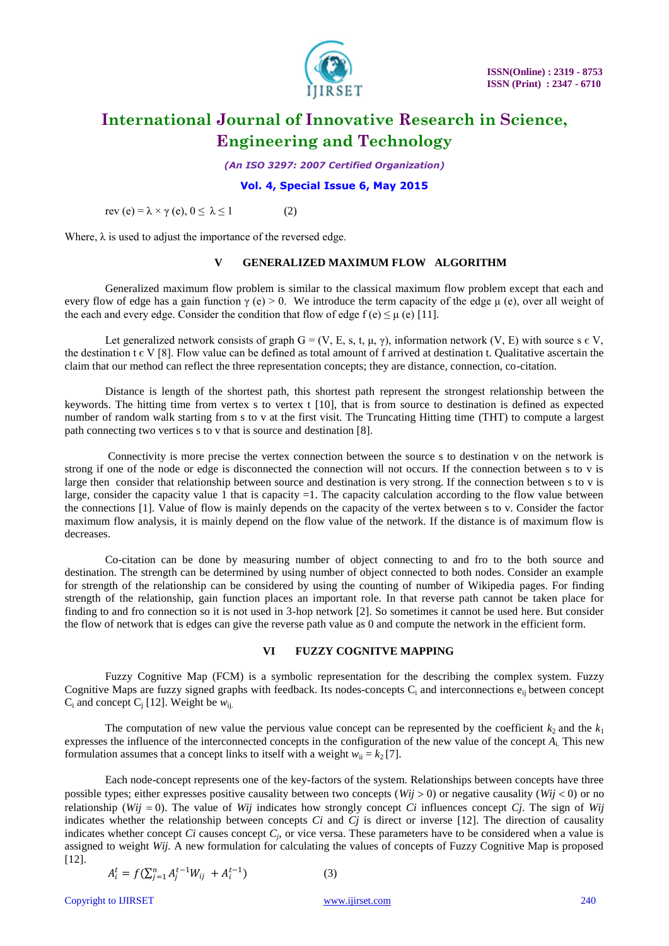

*(An ISO 3297: 2007 Certified Organization)*

#### **Vol. 4, Special Issue 6, May 2015**

rev (e) =  $\lambda \times \gamma$  (e),  $0 \le \lambda \le 1$  (2)

Where,  $\lambda$  is used to adjust the importance of the reversed edge.

### **V GENERALIZED MAXIMUM FLOW ALGORITHM**

Generalized maximum flow problem is similar to the classical maximum flow problem except that each and every flow of edge has a gain function  $\gamma$  (e) > 0. We introduce the term capacity of the edge  $\mu$  (e), over all weight of the each and every edge. Consider the condition that flow of edge  $f(e) \leq \mu(e)$  [11].

Let generalized network consists of graph  $G = (V, E, s, t, \mu, \gamma)$ , information network (V, E) with source s  $\epsilon$  V, the destination  $t \in V$  [8]. Flow value can be defined as total amount of f arrived at destination t. Qualitative ascertain the claim that our method can reflect the three representation concepts; they are distance, connection, co-citation.

Distance is length of the shortest path, this shortest path represent the strongest relationship between the keywords. The hitting time from vertex s to vertex t [10], that is from source to destination is defined as expected number of random walk starting from s to v at the first visit. The Truncating Hitting time (THT) to compute a largest path connecting two vertices s to v that is source and destination [8].

Connectivity is more precise the vertex connection between the source s to destination v on the network is strong if one of the node or edge is disconnected the connection will not occurs. If the connection between s to v is large then consider that relationship between source and destination is very strong. If the connection between s to v is large, consider the capacity value 1 that is capacity  $=1$ . The capacity calculation according to the flow value between the connections [1]. Value of flow is mainly depends on the capacity of the vertex between s to v. Consider the factor maximum flow analysis, it is mainly depend on the flow value of the network. If the distance is of maximum flow is decreases.

Co-citation can be done by measuring number of object connecting to and fro to the both source and destination. The strength can be determined by using number of object connected to both nodes. Consider an example for strength of the relationship can be considered by using the counting of number of Wikipedia pages. For finding strength of the relationship, gain function places an important role. In that reverse path cannot be taken place for finding to and fro connection so it is not used in 3-hop network [2]. So sometimes it cannot be used here. But consider the flow of network that is edges can give the reverse path value as 0 and compute the network in the efficient form.

#### **VI FUZZY COGNITVE MAPPING**

Fuzzy Cognitive Map (FCM) is a symbolic representation for the describing the complex system. Fuzzy Cognitive Maps are fuzzy signed graphs with feedback. Its nodes-concepts  $C_i$  and interconnections  $e_{ii}$  between concept  $C_i$  and concept  $C_i$  [12]. Weight be  $w_{ii}$ .

The computation of new value the pervious value concept can be represented by the coefficient  $k_2$  and the  $k_1$ expresses the influence of the interconnected concepts in the configuration of the new value of the concept *A*i. This new formulation assumes that a concept links to itself with a weight  $w_{ii} = k_2 [7]$ .

Each node-concept represents one of the key-factors of the system. Relationships between concepts have three possible types; either expresses positive causality between two concepts ( $Wij > 0$ ) or negative causality ( $Wij < 0$ ) or no relationship (*Wij* = 0). The value of *Wij* indicates how strongly concept *Ci* influences concept *Cj*. The sign of *Wij* indicates whether the relationship between concepts *Ci* and *Cj* is direct or inverse [12]. The direction of causality indicates whether concept *Ci* causes concept  $C_j$ , or vice versa. These parameters have to be considered when a value is assigned to weight *Wij.* A new formulation for calculating the values of concepts of Fuzzy Cognitive Map is proposed [12].

$$
A_i^t = f(\sum_{j=1}^n A_j^{t-1} W_{ij} + A_i^{t-1})
$$
 (3)

Copyright to IJIRSET [www.ijirset.com](http://www.ijirset.com/) 240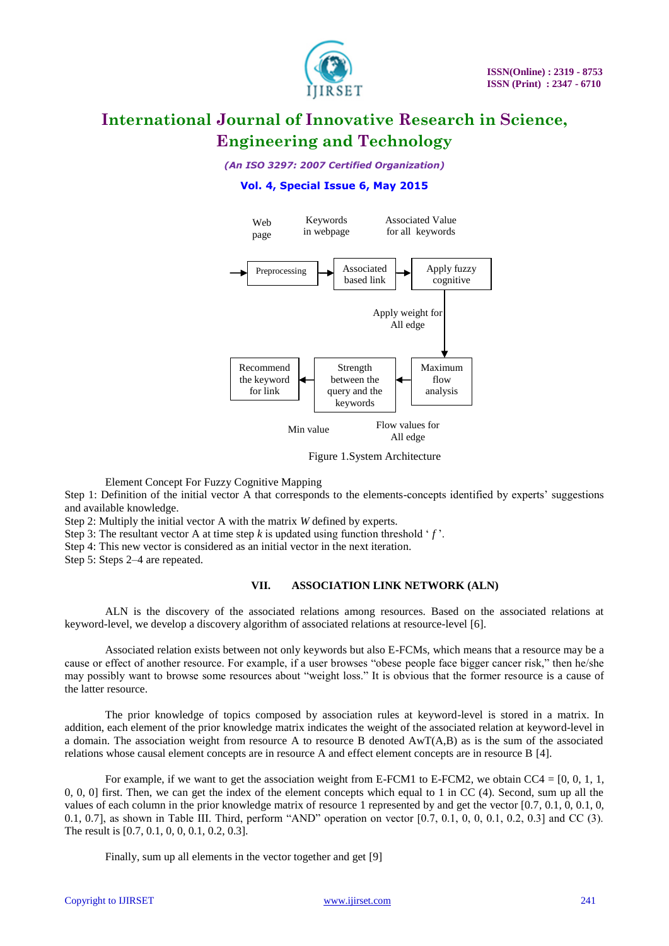

### *(An ISO 3297: 2007 Certified Organization)*

#### **Vol. 4, Special Issue 6, May 2015**



Figure 1.System Architecture

Element Concept For Fuzzy Cognitive Mapping

Step 1: Definition of the initial vector A that corresponds to the elements-concepts identified by experts" suggestions and available knowledge.

Step 2: Multiply the initial vector A with the matrix *W* defined by experts.

Step 3: The resultant vector A at time step  $k$  is updated using function threshold  $f$ .

Step 4: This new vector is considered as an initial vector in the next iteration.

Step 5: Steps 2–4 are repeated.

### **VII. ASSOCIATION LINK NETWORK (ALN)**

ALN is the discovery of the associated relations among resources. Based on the associated relations at keyword-level, we develop a discovery algorithm of associated relations at resource-level [6].

Associated relation exists between not only keywords but also E-FCMs, which means that a resource may be a cause or effect of another resource. For example, if a user browses "obese people face bigger cancer risk," then he/she may possibly want to browse some resources about "weight loss." It is obvious that the former resource is a cause of the latter resource.

The prior knowledge of topics composed by association rules at keyword-level is stored in a matrix. In addition, each element of the prior knowledge matrix indicates the weight of the associated relation at keyword-level in a domain. The association weight from resource A to resource B denoted AwT(A,B) as is the sum of the associated relations whose causal element concepts are in resource A and effect element concepts are in resource B [4].

For example, if we want to get the association weight from E-FCM1 to E-FCM2, we obtain  $CC4 = [0, 0, 1, 1, 1]$ 0, 0, 0] first. Then, we can get the index of the element concepts which equal to 1 in CC (4). Second, sum up all the values of each column in the prior knowledge matrix of resource 1 represented by and get the vector  $[0.7, 0.1, 0, 0.1, 0, 0.1]$ 0.1, 0.7], as shown in Table III. Third, perform "AND" operation on vector [0.7, 0.1, 0, 0, 0.1, 0.2, 0.3] and CC (3). The result is [0.7, 0.1, 0, 0, 0.1, 0.2, 0.3].

Finally, sum up all elements in the vector together and get [9]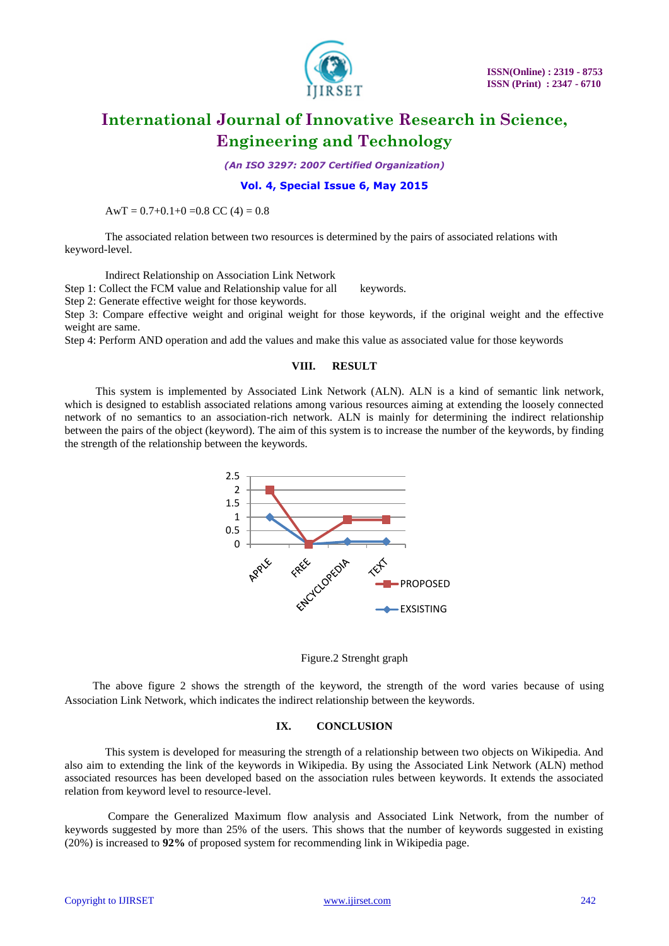

*(An ISO 3297: 2007 Certified Organization)*

#### **Vol. 4, Special Issue 6, May 2015**

AwT =  $0.7+0.1+0=0.8$  CC (4) = 0.8

The associated relation between two resources is determined by the pairs of associated relations with keyword-level.

Indirect Relationship on Association Link Network

Step 1: Collect the FCM value and Relationship value for all keywords.

Step 2: Generate effective weight for those keywords.

Step 3: Compare effective weight and original weight for those keywords, if the original weight and the effective weight are same.

Step 4: Perform AND operation and add the values and make this value as associated value for those keywords

#### **VIII. RESULT**

 This system is implemented by Associated Link Network (ALN). ALN is a kind of semantic link network, which is designed to establish associated relations among various resources aiming at extending the loosely connected network of no semantics to an association-rich network. ALN is mainly for determining the indirect relationship between the pairs of the object (keyword). The aim of this system is to increase the number of the keywords, by finding the strength of the relationship between the keywords.





 The above figure 2 shows the strength of the keyword, the strength of the word varies because of using Association Link Network, which indicates the indirect relationship between the keywords.

#### **IX. CONCLUSION**

This system is developed for measuring the strength of a relationship between two objects on Wikipedia. And also aim to extending the link of the keywords in Wikipedia. By using the Associated Link Network (ALN) method associated resources has been developed based on the association rules between keywords. It extends the associated relation from keyword level to resource-level.

Compare the Generalized Maximum flow analysis and Associated Link Network, from the number of keywords suggested by more than 25% of the users. This shows that the number of keywords suggested in existing (20%) is increased to **92%** of proposed system for recommending link in Wikipedia page.